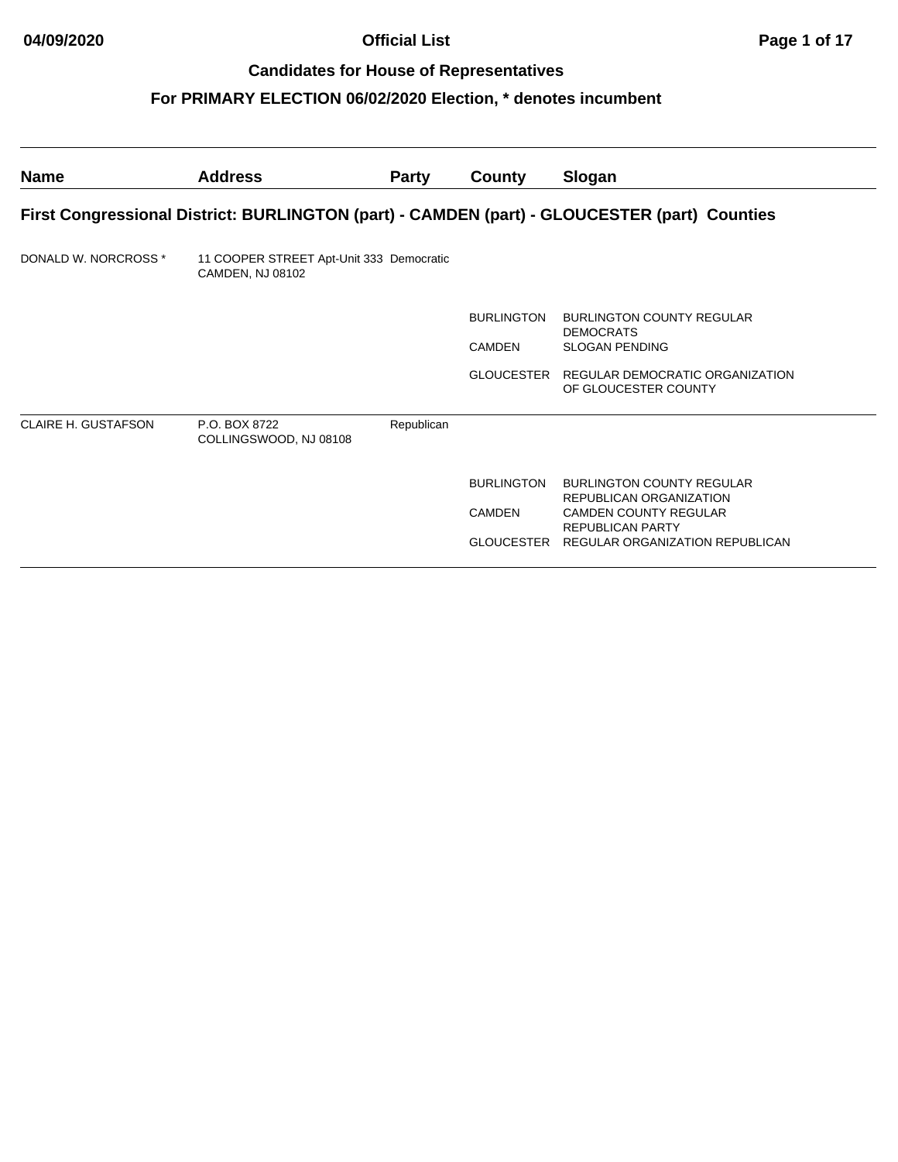| <b>Name</b>                                                                                  | <b>Address</b>                                               | <b>Party</b> | County            | Slogan                                                             |  |  |
|----------------------------------------------------------------------------------------------|--------------------------------------------------------------|--------------|-------------------|--------------------------------------------------------------------|--|--|
| First Congressional District: BURLINGTON (part) - CAMDEN (part) - GLOUCESTER (part) Counties |                                                              |              |                   |                                                                    |  |  |
| DONALD W. NORCROSS *                                                                         | 11 COOPER STREET Apt-Unit 333 Democratic<br>CAMDEN, NJ 08102 |              |                   |                                                                    |  |  |
|                                                                                              |                                                              |              | <b>BURLINGTON</b> | <b>BURLINGTON COUNTY REGULAR</b>                                   |  |  |
|                                                                                              |                                                              |              | CAMDEN            | <b>DEMOCRATS</b><br><b>SLOGAN PENDING</b>                          |  |  |
|                                                                                              |                                                              |              |                   | GLOUCESTER REGULAR DEMOCRATIC ORGANIZATION<br>OF GLOUCESTER COUNTY |  |  |
| <b>CLAIRE H. GUSTAFSON</b>                                                                   | P.O. BOX 8722<br>COLLINGSWOOD, NJ 08108                      | Republican   |                   |                                                                    |  |  |
|                                                                                              |                                                              |              | <b>BURLINGTON</b> | <b>BURLINGTON COUNTY REGULAR</b><br>REPUBLICAN ORGANIZATION        |  |  |
|                                                                                              |                                                              |              | <b>CAMDEN</b>     | <b>CAMDEN COUNTY REGULAR</b><br><b>REPUBLICAN PARTY</b>            |  |  |
|                                                                                              |                                                              |              |                   | GLOUCESTER REGULAR ORGANIZATION REPUBLICAN                         |  |  |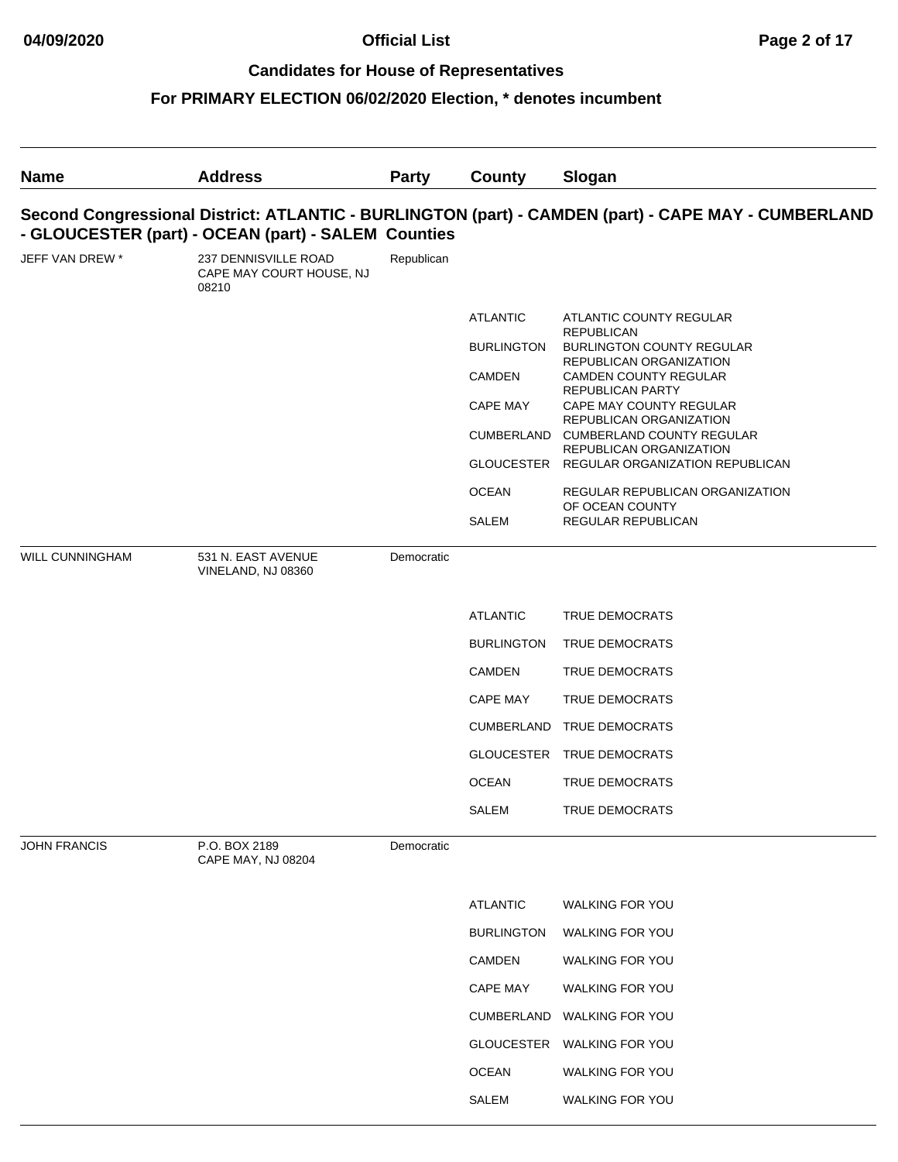## **04/09/2020 Official List Page 2 of 17**

### **Candidates for House of Representatives**

| <b>Name</b>            | <b>Address</b>                                            | Party      | County            | Slogan                                                                                              |
|------------------------|-----------------------------------------------------------|------------|-------------------|-----------------------------------------------------------------------------------------------------|
|                        | - GLOUCESTER (part) - OCEAN (part) - SALEM Counties       |            |                   | Second Congressional District: ATLANTIC - BURLINGTON (part) - CAMDEN (part) - CAPE MAY - CUMBERLAND |
| JEFF VAN DREW *        | 237 DENNISVILLE ROAD<br>CAPE MAY COURT HOUSE, NJ<br>08210 | Republican |                   |                                                                                                     |
|                        |                                                           |            | <b>ATLANTIC</b>   | ATLANTIC COUNTY REGULAR                                                                             |
|                        |                                                           |            | <b>BURLINGTON</b> | <b>REPUBLICAN</b><br><b>BURLINGTON COUNTY REGULAR</b>                                               |
|                        |                                                           |            | <b>CAMDEN</b>     | REPUBLICAN ORGANIZATION<br>CAMDEN COUNTY REGULAR                                                    |
|                        |                                                           |            | <b>CAPE MAY</b>   | <b>REPUBLICAN PARTY</b><br>CAPE MAY COUNTY REGULAR                                                  |
|                        |                                                           |            | CUMBERLAND        | REPUBLICAN ORGANIZATION<br><b>CUMBERLAND COUNTY REGULAR</b>                                         |
|                        |                                                           |            |                   | REPUBLICAN ORGANIZATION<br>GLOUCESTER REGULAR ORGANIZATION REPUBLICAN                               |
|                        |                                                           |            | <b>OCEAN</b>      | REGULAR REPUBLICAN ORGANIZATION                                                                     |
|                        |                                                           |            | SALEM             | OF OCEAN COUNTY<br>REGULAR REPUBLICAN                                                               |
| <b>WILL CUNNINGHAM</b> | 531 N. EAST AVENUE<br>VINELAND, NJ 08360                  | Democratic |                   |                                                                                                     |
|                        |                                                           |            | <b>ATLANTIC</b>   | <b>TRUE DEMOCRATS</b>                                                                               |
|                        |                                                           |            | <b>BURLINGTON</b> | TRUE DEMOCRATS                                                                                      |
|                        |                                                           |            | <b>CAMDEN</b>     | <b>TRUE DEMOCRATS</b>                                                                               |
|                        |                                                           |            | <b>CAPE MAY</b>   | <b>TRUE DEMOCRATS</b>                                                                               |
|                        |                                                           |            | <b>CUMBERLAND</b> | TRUE DEMOCRATS                                                                                      |
|                        |                                                           |            |                   | GLOUCESTER TRUE DEMOCRATS                                                                           |
|                        |                                                           |            | <b>OCEAN</b>      | TRUE DEMOCRATS                                                                                      |
|                        |                                                           |            | SALEM             | TRUE DEMOCRATS                                                                                      |
| <b>JOHN FRANCIS</b>    | P.O. BOX 2189<br>CAPE MAY, NJ 08204                       | Democratic |                   |                                                                                                     |
|                        |                                                           |            | <b>ATLANTIC</b>   | <b>WALKING FOR YOU</b>                                                                              |
|                        |                                                           |            | <b>BURLINGTON</b> | <b>WALKING FOR YOU</b>                                                                              |
|                        |                                                           |            | <b>CAMDEN</b>     | <b>WALKING FOR YOU</b>                                                                              |
|                        |                                                           |            | <b>CAPE MAY</b>   | <b>WALKING FOR YOU</b>                                                                              |
|                        |                                                           |            | <b>CUMBERLAND</b> | <b>WALKING FOR YOU</b>                                                                              |
|                        |                                                           |            | GLOUCESTER        | WALKING FOR YOU                                                                                     |
|                        |                                                           |            | <b>OCEAN</b>      | <b>WALKING FOR YOU</b>                                                                              |
|                        |                                                           |            | SALEM             | <b>WALKING FOR YOU</b>                                                                              |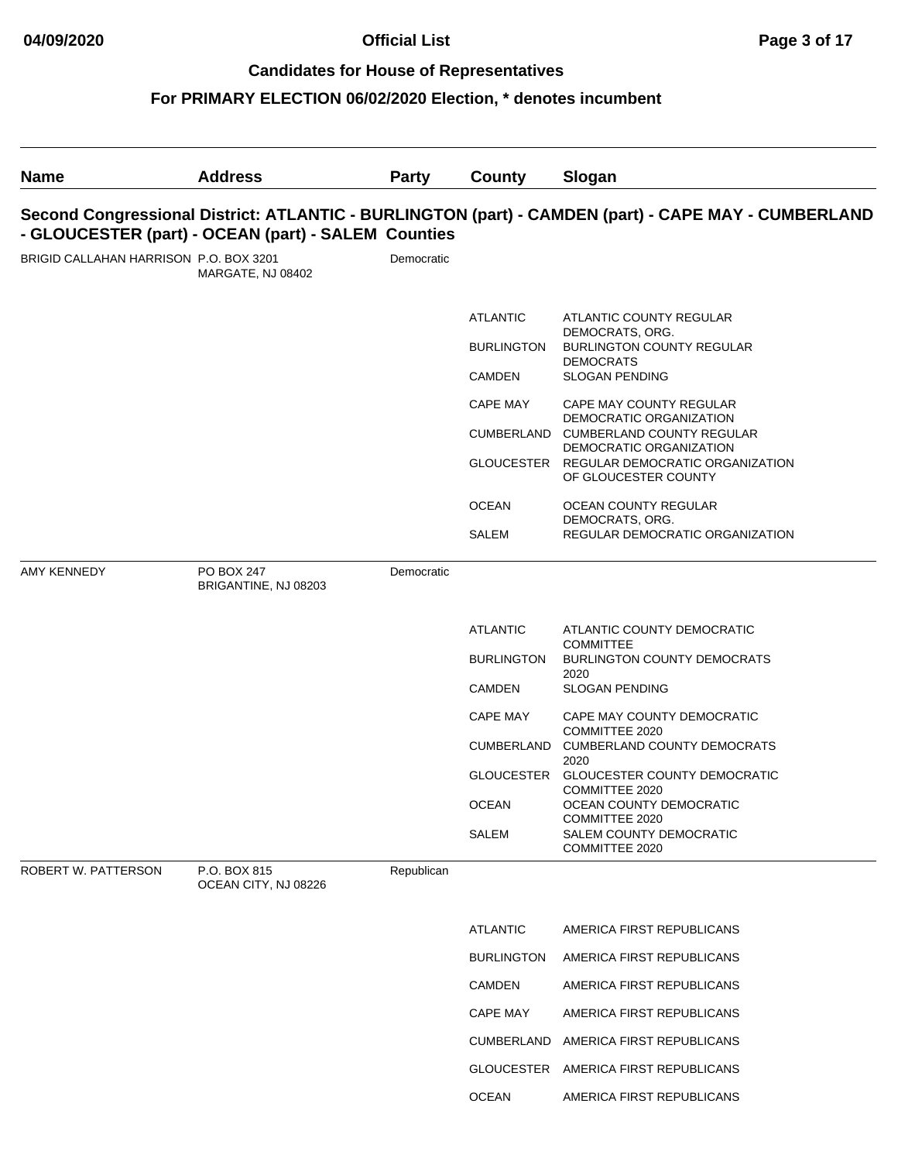## **04/09/2020 Official List Page 3 of 17**

### **Candidates for House of Representatives**

| <b>Name</b>                            | <b>Address</b>                                      | <b>Party</b> | County            | Slogan                                                                                              |
|----------------------------------------|-----------------------------------------------------|--------------|-------------------|-----------------------------------------------------------------------------------------------------|
|                                        | - GLOUCESTER (part) - OCEAN (part) - SALEM Counties |              |                   | Second Congressional District: ATLANTIC - BURLINGTON (part) - CAMDEN (part) - CAPE MAY - CUMBERLAND |
| BRIGID CALLAHAN HARRISON P.O. BOX 3201 | MARGATE, NJ 08402                                   | Democratic   |                   |                                                                                                     |
|                                        |                                                     |              | <b>ATLANTIC</b>   | ATLANTIC COUNTY REGULAR                                                                             |
|                                        |                                                     |              | <b>BURLINGTON</b> | DEMOCRATS, ORG.<br><b>BURLINGTON COUNTY REGULAR</b>                                                 |
|                                        |                                                     |              | CAMDEN            | <b>DEMOCRATS</b><br><b>SLOGAN PENDING</b>                                                           |
|                                        |                                                     |              | <b>CAPE MAY</b>   | CAPE MAY COUNTY REGULAR                                                                             |
|                                        |                                                     |              | CUMBERLAND        | DEMOCRATIC ORGANIZATION<br><b>CUMBERLAND COUNTY REGULAR</b><br>DEMOCRATIC ORGANIZATION              |
|                                        |                                                     |              |                   | GLOUCESTER REGULAR DEMOCRATIC ORGANIZATION<br>OF GLOUCESTER COUNTY                                  |
|                                        |                                                     |              | <b>OCEAN</b>      | OCEAN COUNTY REGULAR<br>DEMOCRATS, ORG.                                                             |
|                                        |                                                     |              | <b>SALEM</b>      | REGULAR DEMOCRATIC ORGANIZATION                                                                     |
| <b>AMY KENNEDY</b>                     | PO BOX 247<br>BRIGANTINE, NJ 08203                  | Democratic   |                   |                                                                                                     |
|                                        |                                                     |              | <b>ATLANTIC</b>   | ATLANTIC COUNTY DEMOCRATIC                                                                          |
|                                        |                                                     |              | <b>BURLINGTON</b> | <b>COMMITTEE</b><br><b>BURLINGTON COUNTY DEMOCRATS</b>                                              |
|                                        |                                                     |              | CAMDEN            | 2020<br><b>SLOGAN PENDING</b>                                                                       |
|                                        |                                                     |              | <b>CAPE MAY</b>   | CAPE MAY COUNTY DEMOCRATIC                                                                          |
|                                        |                                                     |              |                   | COMMITTEE 2020<br>CUMBERLAND CUMBERLAND COUNTY DEMOCRATS                                            |
|                                        |                                                     |              | GLOUCESTER        | 2020<br>GLOUCESTER COUNTY DEMOCRATIC                                                                |
|                                        |                                                     |              | <b>OCEAN</b>      | COMMITTEE 2020<br>OCEAN COUNTY DEMOCRATIC                                                           |
|                                        |                                                     |              | SALEM             | COMMITTEE 2020<br>SALEM COUNTY DEMOCRATIC<br>COMMITTEE 2020                                         |
| ROBERT W. PATTERSON                    | P.O. BOX 815<br>OCEAN CITY, NJ 08226                | Republican   |                   |                                                                                                     |
|                                        |                                                     |              | <b>ATLANTIC</b>   | AMERICA FIRST REPUBLICANS                                                                           |
|                                        |                                                     |              | <b>BURLINGTON</b> | AMERICA FIRST REPUBLICANS                                                                           |
|                                        |                                                     |              | <b>CAMDEN</b>     | AMERICA FIRST REPUBLICANS                                                                           |
|                                        |                                                     |              | <b>CAPE MAY</b>   | AMERICA FIRST REPUBLICANS                                                                           |
|                                        |                                                     |              | CUMBERLAND        | AMERICA FIRST REPUBLICANS                                                                           |
|                                        |                                                     |              | GLOUCESTER        | AMERICA FIRST REPUBLICANS                                                                           |
|                                        |                                                     |              | <b>OCEAN</b>      | AMERICA FIRST REPUBLICANS                                                                           |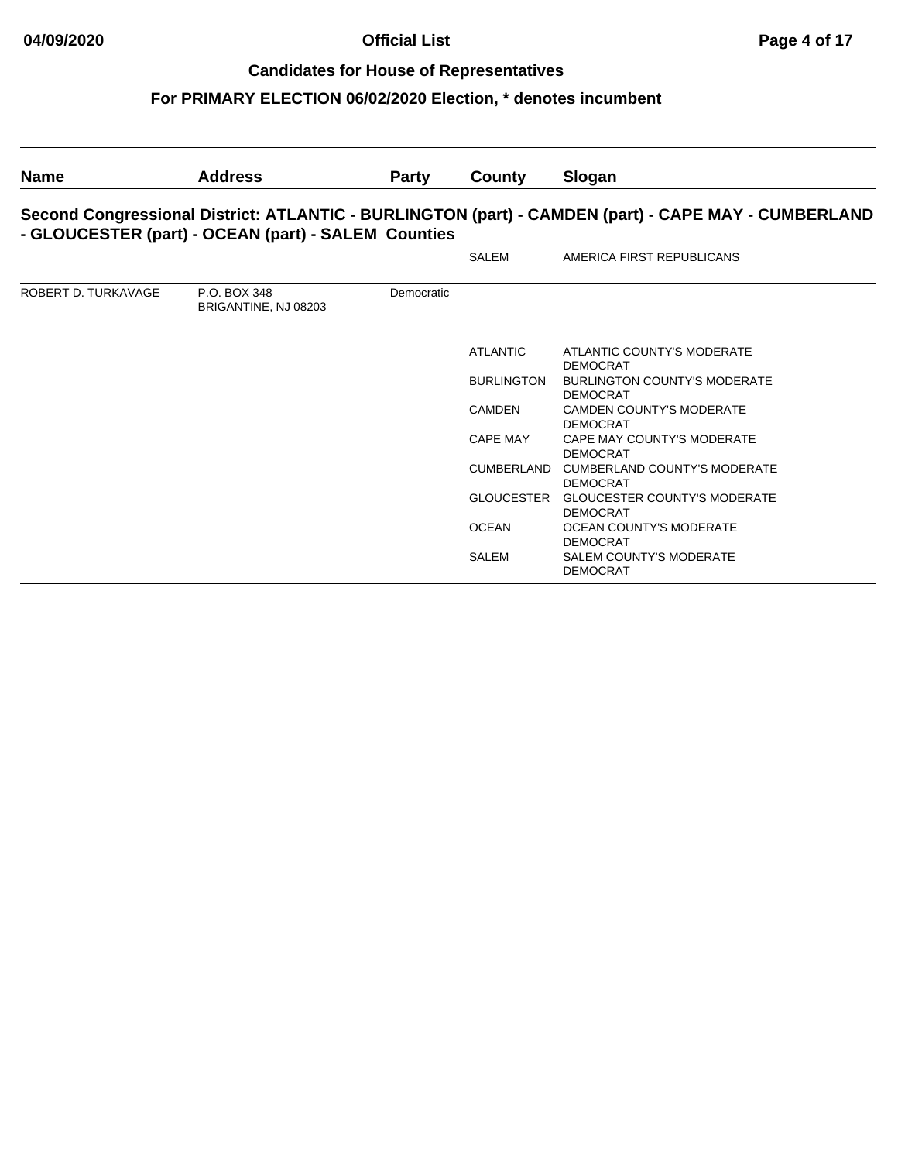## **04/09/2020 Official List Page 4 of 17**

### **Candidates for House of Representatives**

| <b>Name</b>         | <b>Address</b>                                      | <b>Party</b> | County            | Slogan                                                                                              |
|---------------------|-----------------------------------------------------|--------------|-------------------|-----------------------------------------------------------------------------------------------------|
|                     | - GLOUCESTER (part) - OCEAN (part) - SALEM Counties |              |                   | Second Congressional District: ATLANTIC - BURLINGTON (part) - CAMDEN (part) - CAPE MAY - CUMBERLAND |
|                     |                                                     |              | SALEM             | AMERICA FIRST REPUBLICANS                                                                           |
| ROBERT D. TURKAVAGE | P.O. BOX 348<br>BRIGANTINE, NJ 08203                | Democratic   |                   |                                                                                                     |
|                     |                                                     |              | <b>ATLANTIC</b>   | ATLANTIC COUNTY'S MODERATE<br><b>DEMOCRAT</b>                                                       |
|                     |                                                     |              | <b>BURLINGTON</b> | <b>BURLINGTON COUNTY'S MODERATE</b><br><b>DEMOCRAT</b>                                              |
|                     |                                                     |              | <b>CAMDEN</b>     | <b>CAMDEN COUNTY'S MODERATE</b><br><b>DEMOCRAT</b>                                                  |
|                     |                                                     |              | CAPE MAY          | CAPE MAY COUNTY'S MODERATE<br><b>DEMOCRAT</b>                                                       |
|                     |                                                     |              | CUMBERLAND        | CUMBERLAND COUNTY'S MODERATE<br><b>DEMOCRAT</b>                                                     |
|                     |                                                     |              | GLOUCESTER        | <b>GLOUCESTER COUNTY'S MODERATE</b><br><b>DEMOCRAT</b>                                              |
|                     |                                                     |              | <b>OCEAN</b>      | OCEAN COUNTY'S MODERATE<br><b>DEMOCRAT</b>                                                          |
|                     |                                                     |              | <b>SALEM</b>      | <b>SALEM COUNTY'S MODERATE</b><br><b>DEMOCRAT</b>                                                   |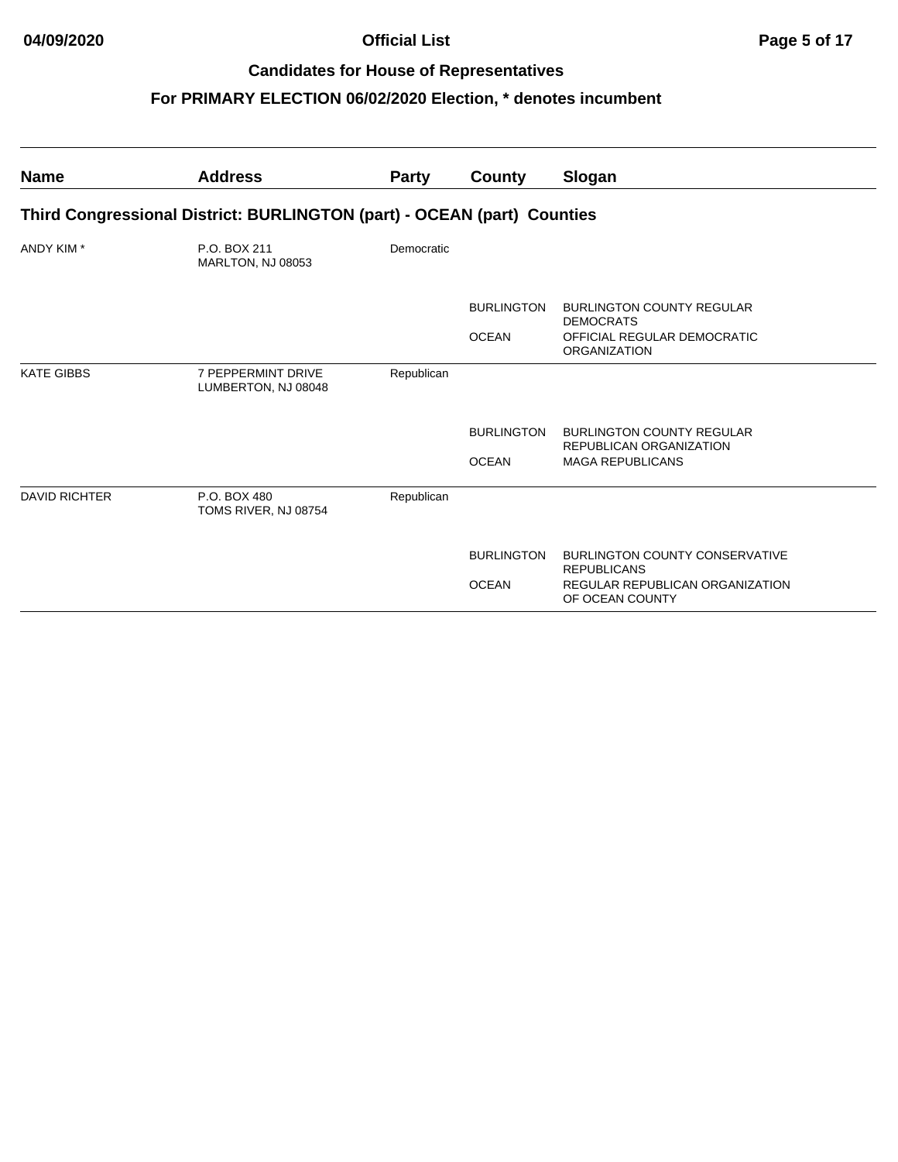| <b>Name</b>          | <b>Address</b>                                                          | <b>Party</b> | County            | Slogan                                                             |  |  |  |  |
|----------------------|-------------------------------------------------------------------------|--------------|-------------------|--------------------------------------------------------------------|--|--|--|--|
|                      | Third Congressional District: BURLINGTON (part) - OCEAN (part) Counties |              |                   |                                                                    |  |  |  |  |
| ANDY KIM *           | P.O. BOX 211<br>MARLTON, NJ 08053                                       | Democratic   |                   |                                                                    |  |  |  |  |
|                      |                                                                         |              | <b>BURLINGTON</b> | <b>BURLINGTON COUNTY REGULAR</b><br><b>DEMOCRATS</b>               |  |  |  |  |
|                      |                                                                         |              | <b>OCEAN</b>      | OFFICIAL REGULAR DEMOCRATIC<br><b>ORGANIZATION</b>                 |  |  |  |  |
| <b>KATE GIBBS</b>    | 7 PEPPERMINT DRIVE<br>LUMBERTON, NJ 08048                               | Republican   |                   |                                                                    |  |  |  |  |
|                      |                                                                         |              | <b>BURLINGTON</b> | <b>BURLINGTON COUNTY REGULAR</b><br><b>REPUBLICAN ORGANIZATION</b> |  |  |  |  |
|                      |                                                                         |              | <b>OCEAN</b>      | <b>MAGA REPUBLICANS</b>                                            |  |  |  |  |
| <b>DAVID RICHTER</b> | P.O. BOX 480<br>TOMS RIVER, NJ 08754                                    | Republican   |                   |                                                                    |  |  |  |  |
|                      |                                                                         |              | <b>BURLINGTON</b> | <b>BURLINGTON COUNTY CONSERVATIVE</b><br><b>REPUBLICANS</b>        |  |  |  |  |
|                      |                                                                         |              | <b>OCEAN</b>      | REGULAR REPUBLICAN ORGANIZATION<br>OF OCEAN COUNTY                 |  |  |  |  |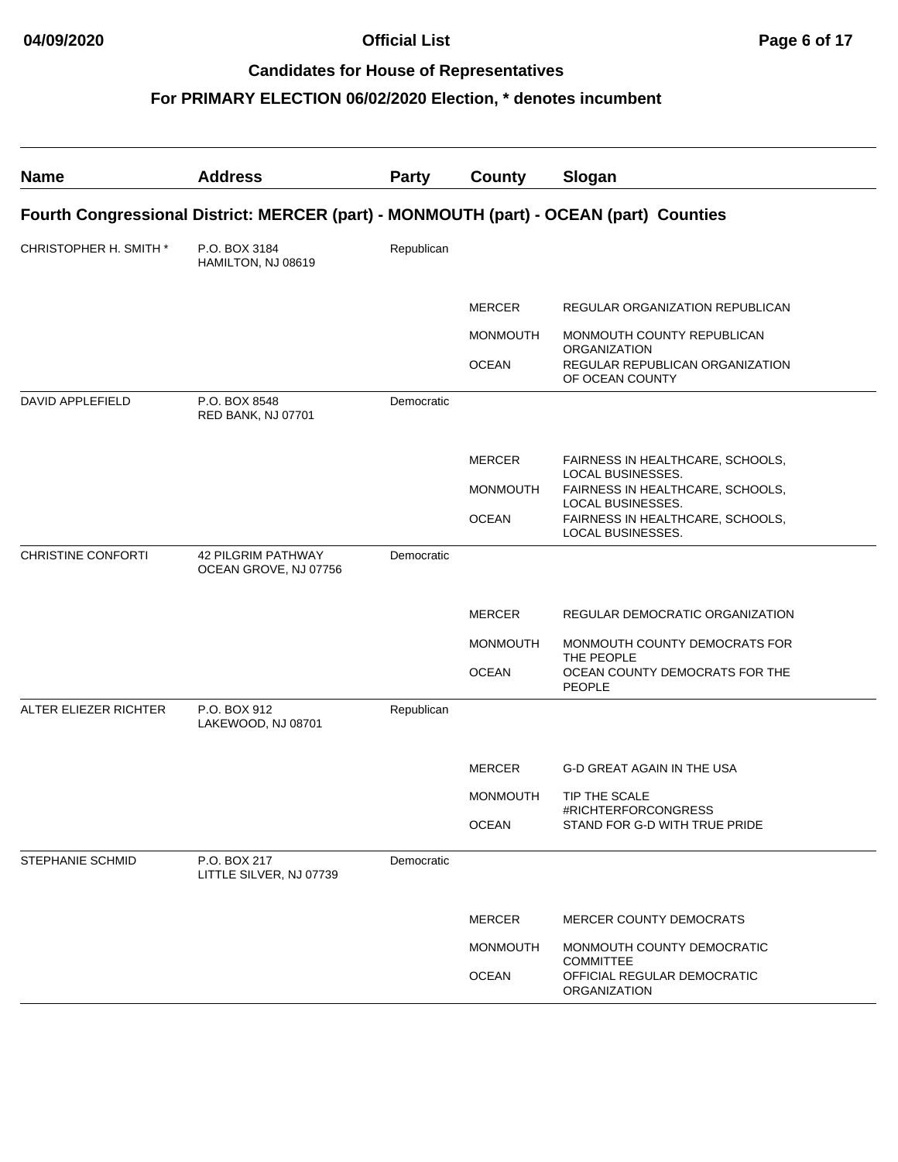| <b>Name</b>            | <b>Address</b>                                                                         | <b>Party</b> | <b>County</b>   | Slogan                                                |
|------------------------|----------------------------------------------------------------------------------------|--------------|-----------------|-------------------------------------------------------|
|                        | Fourth Congressional District: MERCER (part) - MONMOUTH (part) - OCEAN (part) Counties |              |                 |                                                       |
| CHRISTOPHER H. SMITH * | P.O. BOX 3184<br>HAMILTON, NJ 08619                                                    | Republican   |                 |                                                       |
|                        |                                                                                        |              | <b>MERCER</b>   | REGULAR ORGANIZATION REPUBLICAN                       |
|                        |                                                                                        |              | <b>MONMOUTH</b> | MONMOUTH COUNTY REPUBLICAN<br><b>ORGANIZATION</b>     |
|                        |                                                                                        |              | <b>OCEAN</b>    | REGULAR REPUBLICAN ORGANIZATION<br>OF OCEAN COUNTY    |
| DAVID APPLEFIELD       | P.O. BOX 8548<br>RED BANK, NJ 07701                                                    | Democratic   |                 |                                                       |
|                        |                                                                                        |              | <b>MERCER</b>   | FAIRNESS IN HEALTHCARE, SCHOOLS,<br>LOCAL BUSINESSES. |
|                        |                                                                                        |              | <b>MONMOUTH</b> | FAIRNESS IN HEALTHCARE, SCHOOLS,<br>LOCAL BUSINESSES. |
|                        |                                                                                        |              | <b>OCEAN</b>    | FAIRNESS IN HEALTHCARE, SCHOOLS,<br>LOCAL BUSINESSES. |
| CHRISTINE CONFORTI     | <b>42 PILGRIM PATHWAY</b><br>OCEAN GROVE, NJ 07756                                     | Democratic   |                 |                                                       |
|                        |                                                                                        |              | <b>MERCER</b>   | REGULAR DEMOCRATIC ORGANIZATION                       |
|                        |                                                                                        |              | <b>MONMOUTH</b> | MONMOUTH COUNTY DEMOCRATS FOR<br>THE PEOPLE           |
|                        |                                                                                        |              | <b>OCEAN</b>    | OCEAN COUNTY DEMOCRATS FOR THE<br>PEOPLE              |
| ALTER ELIEZER RICHTER  | P.O. BOX 912<br>LAKEWOOD, NJ 08701                                                     | Republican   |                 |                                                       |
|                        |                                                                                        |              | <b>MERCER</b>   | <b>G-D GREAT AGAIN IN THE USA</b>                     |
|                        |                                                                                        |              | <b>MONMOUTH</b> | TIP THE SCALE<br>#RICHTERFORCONGRESS                  |
|                        |                                                                                        |              | <b>OCEAN</b>    | STAND FOR G-D WITH TRUE PRIDE                         |
| STEPHANIE SCHMID       | P.O. BOX 217<br>LITTLE SILVER, NJ 07739                                                | Democratic   |                 |                                                       |
|                        |                                                                                        |              | <b>MERCER</b>   | <b>MERCER COUNTY DEMOCRATS</b>                        |
|                        |                                                                                        |              | <b>MONMOUTH</b> | MONMOUTH COUNTY DEMOCRATIC<br><b>COMMITTEE</b>        |
|                        |                                                                                        |              | <b>OCEAN</b>    | OFFICIAL REGULAR DEMOCRATIC<br>ORGANIZATION           |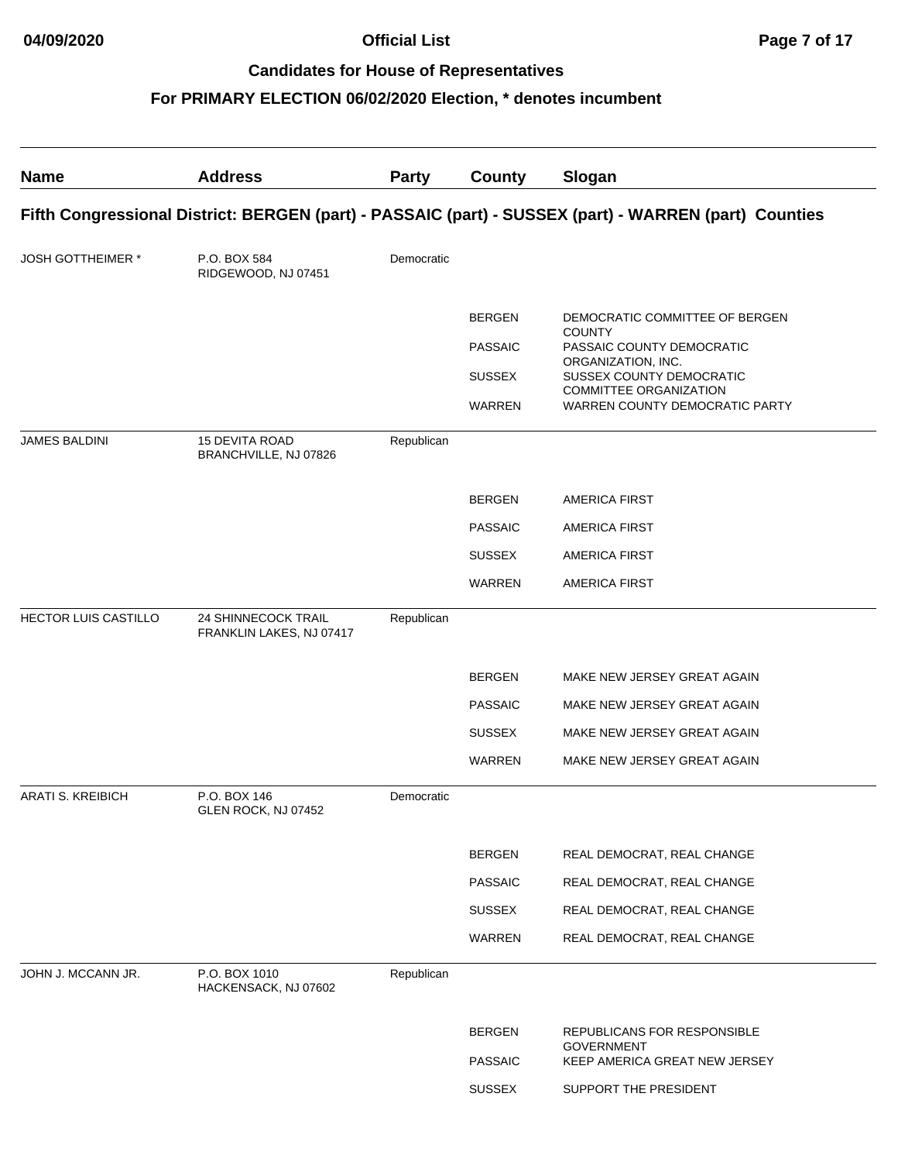| <b>Name</b>                 | <b>Address</b>                                  | <b>Party</b> | <b>County</b>                                              | Slogan                                                                                                                                                                                     |
|-----------------------------|-------------------------------------------------|--------------|------------------------------------------------------------|--------------------------------------------------------------------------------------------------------------------------------------------------------------------------------------------|
|                             |                                                 |              |                                                            | Fifth Congressional District: BERGEN (part) - PASSAIC (part) - SUSSEX (part) - WARREN (part) Counties                                                                                      |
| <b>JOSH GOTTHEIMER *</b>    | P.O. BOX 584<br>RIDGEWOOD, NJ 07451             | Democratic   |                                                            |                                                                                                                                                                                            |
|                             |                                                 |              | <b>BERGEN</b><br><b>PASSAIC</b><br><b>SUSSEX</b><br>WARREN | DEMOCRATIC COMMITTEE OF BERGEN<br><b>COUNTY</b><br>PASSAIC COUNTY DEMOCRATIC<br>ORGANIZATION, INC.<br>SUSSEX COUNTY DEMOCRATIC<br>COMMITTEE ORGANIZATION<br>WARREN COUNTY DEMOCRATIC PARTY |
| <b>JAMES BALDINI</b>        | <b>15 DEVITA ROAD</b><br>BRANCHVILLE, NJ 07826  | Republican   |                                                            |                                                                                                                                                                                            |
|                             |                                                 |              | <b>BERGEN</b>                                              | <b>AMERICA FIRST</b>                                                                                                                                                                       |
|                             |                                                 |              | <b>PASSAIC</b>                                             | <b>AMERICA FIRST</b>                                                                                                                                                                       |
|                             |                                                 |              | <b>SUSSEX</b>                                              | <b>AMERICA FIRST</b>                                                                                                                                                                       |
|                             |                                                 |              | <b>WARREN</b>                                              | <b>AMERICA FIRST</b>                                                                                                                                                                       |
| <b>HECTOR LUIS CASTILLO</b> | 24 SHINNECOCK TRAIL<br>FRANKLIN LAKES, NJ 07417 | Republican   |                                                            |                                                                                                                                                                                            |
|                             |                                                 |              | <b>BERGEN</b>                                              | MAKE NEW JERSEY GREAT AGAIN                                                                                                                                                                |
|                             |                                                 |              | <b>PASSAIC</b>                                             | MAKE NEW JERSEY GREAT AGAIN                                                                                                                                                                |
|                             |                                                 |              | <b>SUSSEX</b>                                              | MAKE NEW JERSEY GREAT AGAIN                                                                                                                                                                |
|                             |                                                 |              | <b>WARREN</b>                                              | MAKE NEW JERSEY GREAT AGAIN                                                                                                                                                                |
| ARATI S. KREIBICH           | P.O. BOX 146<br>GLEN ROCK, NJ 07452             | Democratic   |                                                            |                                                                                                                                                                                            |
|                             |                                                 |              | <b>BERGEN</b>                                              | REAL DEMOCRAT, REAL CHANGE                                                                                                                                                                 |
|                             |                                                 |              | <b>PASSAIC</b>                                             | REAL DEMOCRAT, REAL CHANGE                                                                                                                                                                 |
|                             |                                                 |              | <b>SUSSEX</b>                                              | REAL DEMOCRAT, REAL CHANGE                                                                                                                                                                 |
|                             |                                                 |              | WARREN                                                     | REAL DEMOCRAT, REAL CHANGE                                                                                                                                                                 |
| JOHN J. MCCANN JR.          | P.O. BOX 1010<br>HACKENSACK, NJ 07602           | Republican   |                                                            |                                                                                                                                                                                            |
|                             |                                                 |              | <b>BERGEN</b>                                              | REPUBLICANS FOR RESPONSIBLE<br><b>GOVERNMENT</b>                                                                                                                                           |
|                             |                                                 |              | <b>PASSAIC</b>                                             | KEEP AMERICA GREAT NEW JERSEY                                                                                                                                                              |
|                             |                                                 |              | <b>SUSSEX</b>                                              | SUPPORT THE PRESIDENT                                                                                                                                                                      |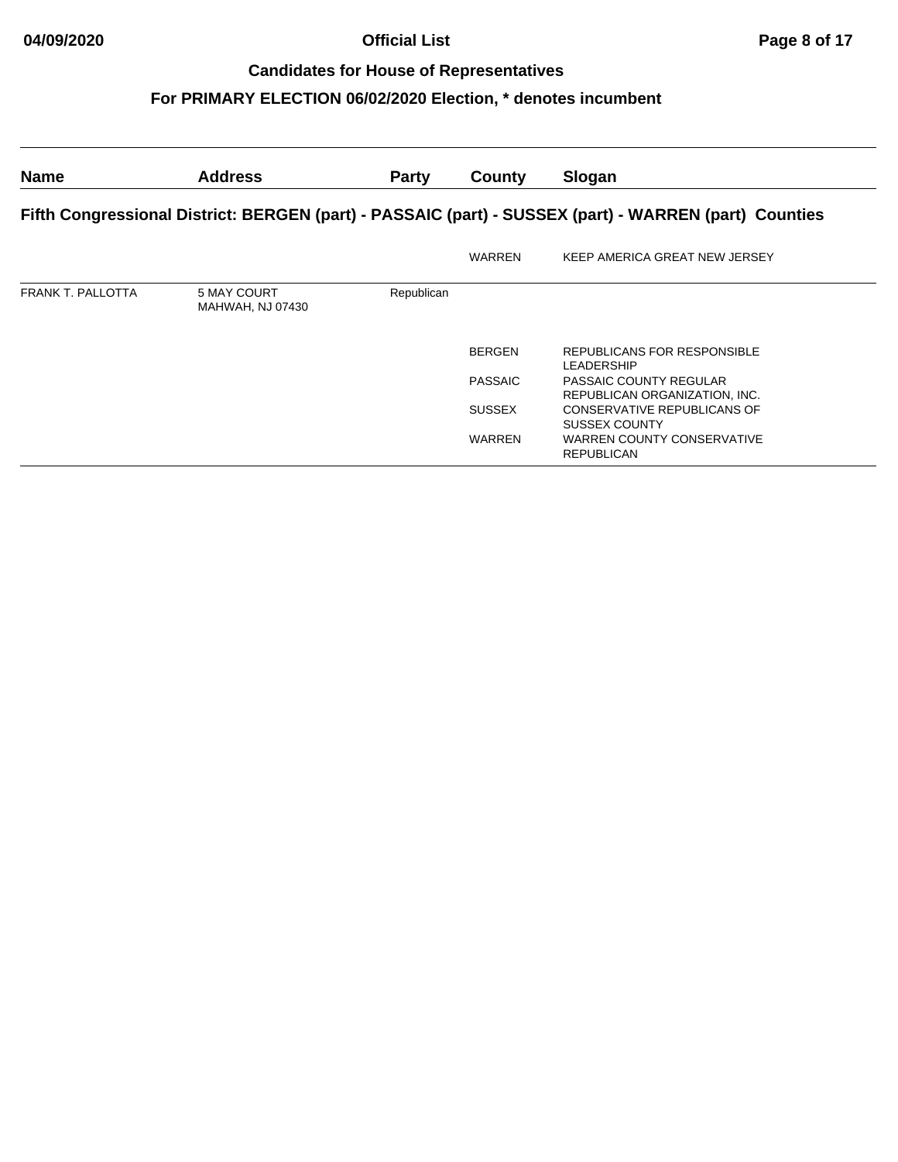## **04/09/2020 Official List Page 8 of 17**

### **Candidates for House of Representatives**

| <b>Name</b>                                                                                           | <b>Address</b>                  | <b>Party</b> | County         | Slogan                                                  |  |  |
|-------------------------------------------------------------------------------------------------------|---------------------------------|--------------|----------------|---------------------------------------------------------|--|--|
| Fifth Congressional District: BERGEN (part) - PASSAIC (part) - SUSSEX (part) - WARREN (part) Counties |                                 |              |                |                                                         |  |  |
|                                                                                                       |                                 |              | <b>WARREN</b>  | KEEP AMERICA GREAT NEW JERSEY                           |  |  |
| FRANK T. PALLOTTA                                                                                     | 5 MAY COURT<br>MAHWAH, NJ 07430 | Republican   |                |                                                         |  |  |
|                                                                                                       |                                 |              | <b>BERGEN</b>  | REPUBLICANS FOR RESPONSIBLE<br><b>LEADERSHIP</b>        |  |  |
|                                                                                                       |                                 |              | <b>PASSAIC</b> | PASSAIC COUNTY REGULAR<br>REPUBLICAN ORGANIZATION, INC. |  |  |
|                                                                                                       |                                 |              | <b>SUSSEX</b>  | CONSERVATIVE REPUBLICANS OF<br><b>SUSSEX COUNTY</b>     |  |  |
|                                                                                                       |                                 |              | <b>WARREN</b>  | WARREN COUNTY CONSERVATIVE<br><b>REPUBLICAN</b>         |  |  |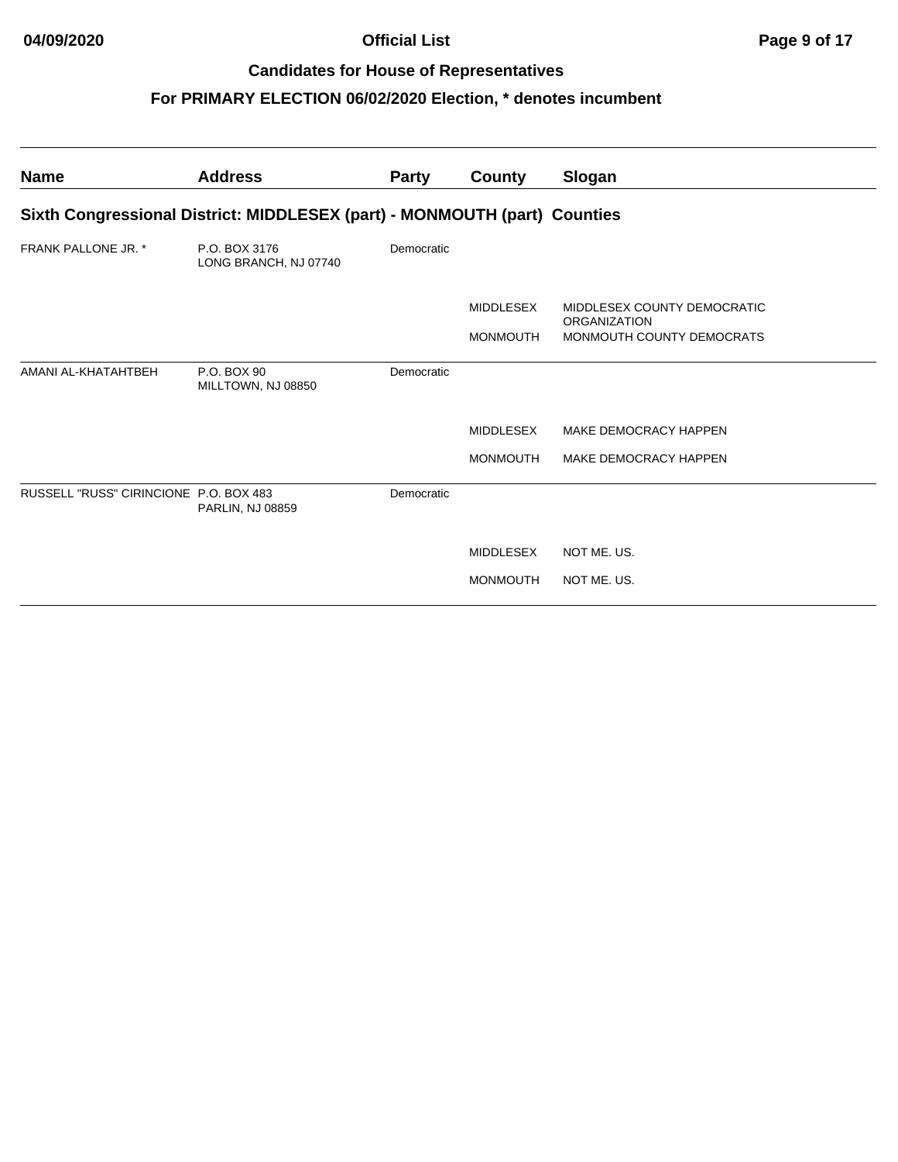| <b>Name</b>                            | <b>Address</b>                                                            | <b>Party</b> | County           | Slogan                                           |  |  |  |  |
|----------------------------------------|---------------------------------------------------------------------------|--------------|------------------|--------------------------------------------------|--|--|--|--|
|                                        | Sixth Congressional District: MIDDLESEX (part) - MONMOUTH (part) Counties |              |                  |                                                  |  |  |  |  |
| <b>FRANK PALLONE JR. *</b>             | P.O. BOX 3176<br>LONG BRANCH, NJ 07740                                    | Democratic   |                  |                                                  |  |  |  |  |
|                                        |                                                                           |              | <b>MIDDLESEX</b> | MIDDLESEX COUNTY DEMOCRATIC                      |  |  |  |  |
|                                        |                                                                           |              | <b>MONMOUTH</b>  | <b>ORGANIZATION</b><br>MONMOUTH COUNTY DEMOCRATS |  |  |  |  |
| AMANI AL-KHATAHTBEH                    | P.O. BOX 90<br>MILLTOWN, NJ 08850                                         | Democratic   |                  |                                                  |  |  |  |  |
|                                        |                                                                           |              | <b>MIDDLESEX</b> | MAKE DEMOCRACY HAPPEN                            |  |  |  |  |
|                                        |                                                                           |              | <b>MONMOUTH</b>  | MAKE DEMOCRACY HAPPEN                            |  |  |  |  |
| RUSSELL "RUSS" CIRINCIONE P.O. BOX 483 | <b>PARLIN, NJ 08859</b>                                                   | Democratic   |                  |                                                  |  |  |  |  |
|                                        |                                                                           |              | <b>MIDDLESEX</b> | NOT ME, US.                                      |  |  |  |  |
|                                        |                                                                           |              | <b>MONMOUTH</b>  | NOT ME, US.                                      |  |  |  |  |
|                                        |                                                                           |              |                  |                                                  |  |  |  |  |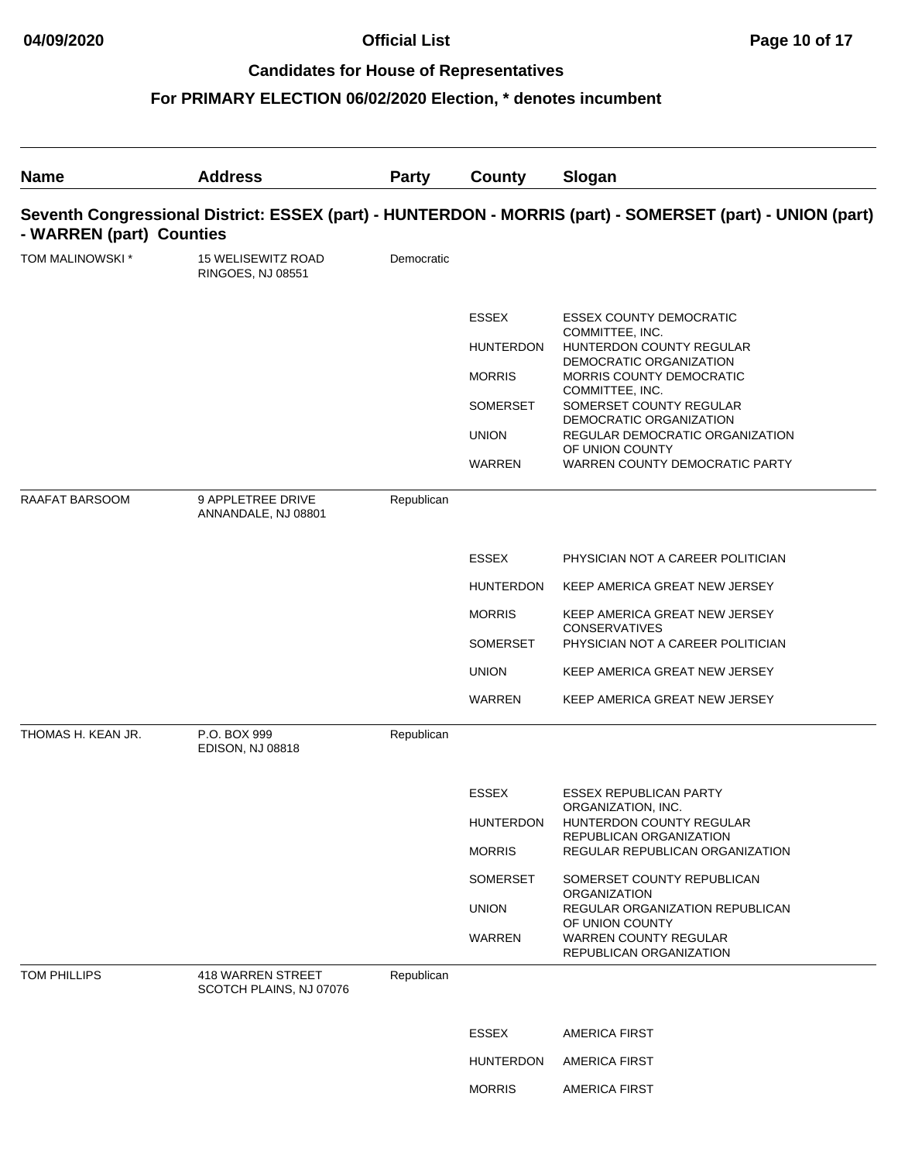| <b>Name</b>        | <b>Address</b>                                                                                                                        | <b>Party</b> | County                           | Slogan                                                                        |  |  |
|--------------------|---------------------------------------------------------------------------------------------------------------------------------------|--------------|----------------------------------|-------------------------------------------------------------------------------|--|--|
|                    | Seventh Congressional District: ESSEX (part) - HUNTERDON - MORRIS (part) - SOMERSET (part) - UNION (part)<br>- WARREN (part) Counties |              |                                  |                                                                               |  |  |
| TOM MALINOWSKI *   | <b>15 WELISEWITZ ROAD</b><br><b>RINGOES, NJ 08551</b>                                                                                 | Democratic   |                                  |                                                                               |  |  |
|                    |                                                                                                                                       |              | <b>ESSEX</b><br><b>HUNTERDON</b> | <b>ESSEX COUNTY DEMOCRATIC</b><br>COMMITTEE, INC.<br>HUNTERDON COUNTY REGULAR |  |  |
|                    |                                                                                                                                       |              | <b>MORRIS</b>                    | DEMOCRATIC ORGANIZATION<br>MORRIS COUNTY DEMOCRATIC                           |  |  |
|                    |                                                                                                                                       |              | SOMERSET                         | COMMITTEE, INC.<br>SOMERSET COUNTY REGULAR                                    |  |  |
|                    |                                                                                                                                       |              | <b>UNION</b>                     | DEMOCRATIC ORGANIZATION<br>REGULAR DEMOCRATIC ORGANIZATION<br>OF UNION COUNTY |  |  |
|                    |                                                                                                                                       |              | <b>WARREN</b>                    | WARREN COUNTY DEMOCRATIC PARTY                                                |  |  |
| RAAFAT BARSOOM     | 9 APPLETREE DRIVE<br>ANNANDALE, NJ 08801                                                                                              | Republican   |                                  |                                                                               |  |  |
|                    |                                                                                                                                       |              | <b>ESSEX</b>                     | PHYSICIAN NOT A CAREER POLITICIAN                                             |  |  |
|                    |                                                                                                                                       |              | <b>HUNTERDON</b>                 | KEEP AMERICA GREAT NEW JERSEY                                                 |  |  |
|                    |                                                                                                                                       |              | <b>MORRIS</b>                    | KEEP AMERICA GREAT NEW JERSEY<br><b>CONSERVATIVES</b>                         |  |  |
|                    |                                                                                                                                       |              | SOMERSET                         | PHYSICIAN NOT A CAREER POLITICIAN                                             |  |  |
|                    |                                                                                                                                       |              | <b>UNION</b>                     | KEEP AMERICA GREAT NEW JERSEY                                                 |  |  |
|                    |                                                                                                                                       |              | <b>WARREN</b>                    | KEEP AMERICA GREAT NEW JERSEY                                                 |  |  |
| THOMAS H. KEAN JR. | P.O. BOX 999<br><b>EDISON, NJ 08818</b>                                                                                               | Republican   |                                  |                                                                               |  |  |
|                    |                                                                                                                                       |              | <b>ESSEX</b>                     | <b>ESSEX REPUBLICAN PARTY</b>                                                 |  |  |
|                    |                                                                                                                                       |              | <b>HUNTERDON</b>                 | ORGANIZATION, INC.<br>HUNTERDON COUNTY REGULAR                                |  |  |
|                    |                                                                                                                                       |              | <b>MORRIS</b>                    | REPUBLICAN ORGANIZATION<br>REGULAR REPUBLICAN ORGANIZATION                    |  |  |
|                    |                                                                                                                                       |              | SOMERSET                         | SOMERSET COUNTY REPUBLICAN                                                    |  |  |
|                    |                                                                                                                                       |              | <b>UNION</b>                     | ORGANIZATION<br>REGULAR ORGANIZATION REPUBLICAN                               |  |  |
|                    |                                                                                                                                       |              | WARREN                           | OF UNION COUNTY<br><b>WARREN COUNTY REGULAR</b><br>REPUBLICAN ORGANIZATION    |  |  |
| TOM PHILLIPS       | <b>418 WARREN STREET</b><br>SCOTCH PLAINS, NJ 07076                                                                                   | Republican   |                                  |                                                                               |  |  |
|                    |                                                                                                                                       |              | <b>ESSEX</b>                     | <b>AMERICA FIRST</b>                                                          |  |  |
|                    |                                                                                                                                       |              | HUNTERDON                        | <b>AMERICA FIRST</b>                                                          |  |  |
|                    |                                                                                                                                       |              | <b>MORRIS</b>                    | <b>AMERICA FIRST</b>                                                          |  |  |
|                    |                                                                                                                                       |              |                                  |                                                                               |  |  |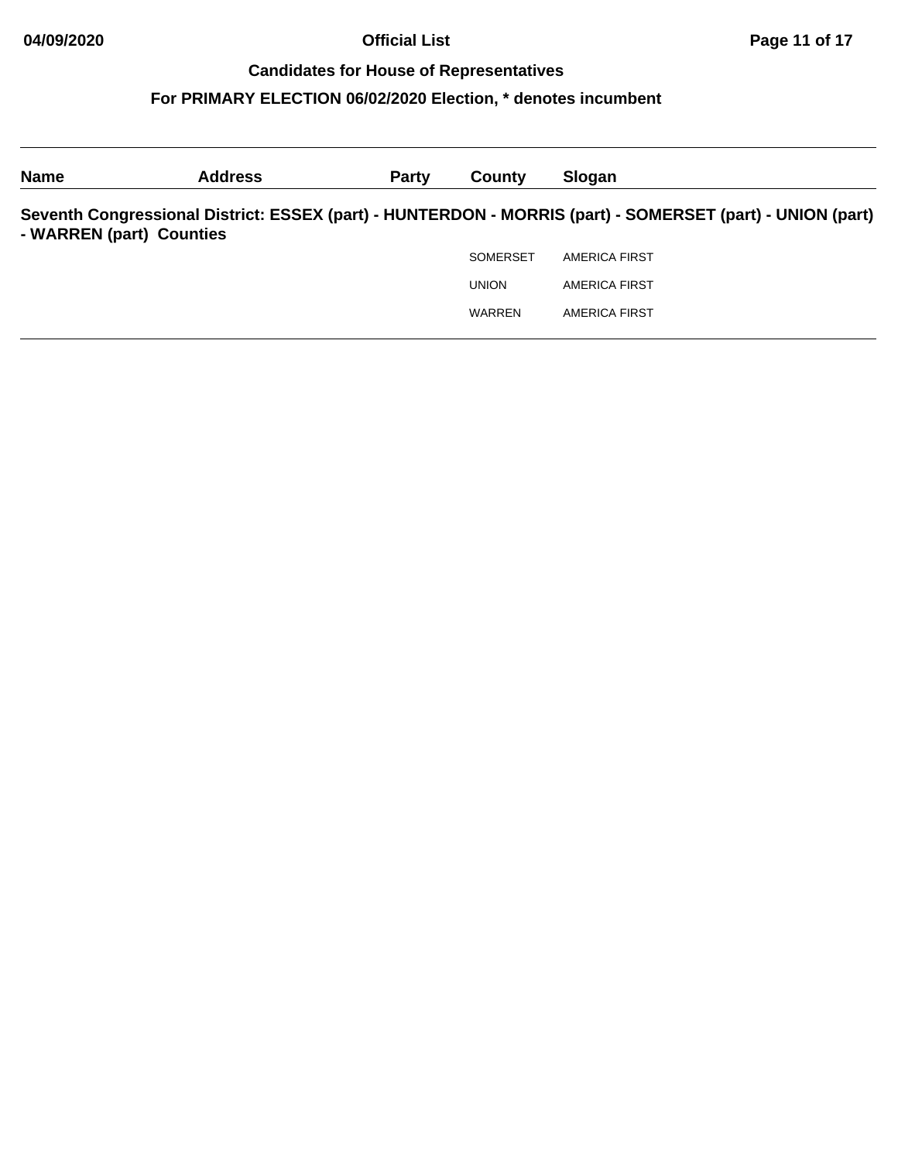| <b>Name</b>              | <b>Address</b> | <b>Party</b> | County          | Slogan                                                                                                    |
|--------------------------|----------------|--------------|-----------------|-----------------------------------------------------------------------------------------------------------|
| - WARREN (part) Counties |                |              |                 | Seventh Congressional District: ESSEX (part) - HUNTERDON - MORRIS (part) - SOMERSET (part) - UNION (part) |
|                          |                |              | <b>SOMERSET</b> | AMERICA FIRST                                                                                             |
|                          |                |              | <b>UNION</b>    | <b>AMERICA FIRST</b>                                                                                      |
|                          |                |              | <b>WARREN</b>   | <b>AMERICA FIRST</b>                                                                                      |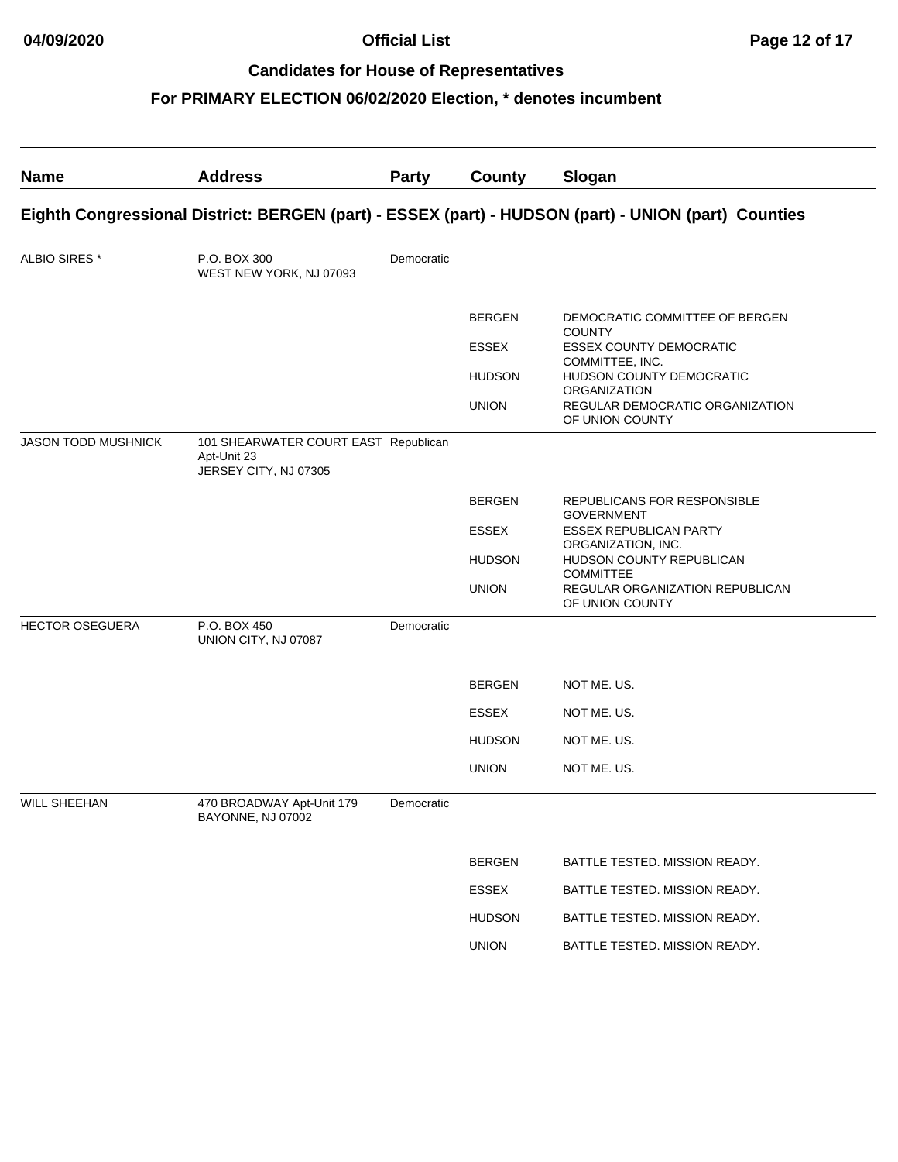| <b>Name</b>            | <b>Address</b>                                                                                      | Party      | <b>County</b>                 | Slogan                                                                     |  |  |  |
|------------------------|-----------------------------------------------------------------------------------------------------|------------|-------------------------------|----------------------------------------------------------------------------|--|--|--|
|                        | Eighth Congressional District: BERGEN (part) - ESSEX (part) - HUDSON (part) - UNION (part) Counties |            |                               |                                                                            |  |  |  |
| ALBIO SIRES *          | P.O. BOX 300<br>WEST NEW YORK, NJ 07093                                                             | Democratic |                               |                                                                            |  |  |  |
|                        |                                                                                                     |            | <b>BERGEN</b><br><b>ESSEX</b> | DEMOCRATIC COMMITTEE OF BERGEN<br><b>COUNTY</b><br>ESSEX COUNTY DEMOCRATIC |  |  |  |
|                        |                                                                                                     |            | <b>HUDSON</b>                 | COMMITTEE, INC.<br>HUDSON COUNTY DEMOCRATIC                                |  |  |  |
|                        |                                                                                                     |            | <b>UNION</b>                  | ORGANIZATION<br>REGULAR DEMOCRATIC ORGANIZATION<br>OF UNION COUNTY         |  |  |  |
| JASON TODD MUSHNICK    | 101 SHEARWATER COURT EAST Republican<br>Apt-Unit 23<br>JERSEY CITY, NJ 07305                        |            |                               |                                                                            |  |  |  |
|                        |                                                                                                     |            | <b>BERGEN</b>                 | REPUBLICANS FOR RESPONSIBLE<br><b>GOVERNMENT</b>                           |  |  |  |
|                        |                                                                                                     |            | <b>ESSEX</b>                  | <b>ESSEX REPUBLICAN PARTY</b><br>ORGANIZATION, INC.                        |  |  |  |
|                        |                                                                                                     |            | <b>HUDSON</b>                 | HUDSON COUNTY REPUBLICAN<br><b>COMMITTEE</b>                               |  |  |  |
|                        |                                                                                                     |            | <b>UNION</b>                  | REGULAR ORGANIZATION REPUBLICAN<br>OF UNION COUNTY                         |  |  |  |
| <b>HECTOR OSEGUERA</b> | P.O. BOX 450<br>UNION CITY, NJ 07087                                                                | Democratic |                               |                                                                            |  |  |  |
|                        |                                                                                                     |            | <b>BERGEN</b>                 | NOT ME. US.                                                                |  |  |  |
|                        |                                                                                                     |            | <b>ESSEX</b>                  | NOT ME. US.                                                                |  |  |  |
|                        |                                                                                                     |            | <b>HUDSON</b>                 | NOT ME. US.                                                                |  |  |  |
|                        |                                                                                                     |            | <b>UNION</b>                  | NOT ME. US.                                                                |  |  |  |
| <b>WILL SHEEHAN</b>    | 470 BROADWAY Apt-Unit 179<br>BAYONNE, NJ 07002                                                      | Democratic |                               |                                                                            |  |  |  |
|                        |                                                                                                     |            | <b>BERGEN</b>                 | BATTLE TESTED. MISSION READY.                                              |  |  |  |
|                        |                                                                                                     |            | <b>ESSEX</b>                  | BATTLE TESTED. MISSION READY.                                              |  |  |  |
|                        |                                                                                                     |            | <b>HUDSON</b>                 | BATTLE TESTED. MISSION READY.                                              |  |  |  |
|                        |                                                                                                     |            | <b>UNION</b>                  | BATTLE TESTED. MISSION READY.                                              |  |  |  |
|                        |                                                                                                     |            |                               |                                                                            |  |  |  |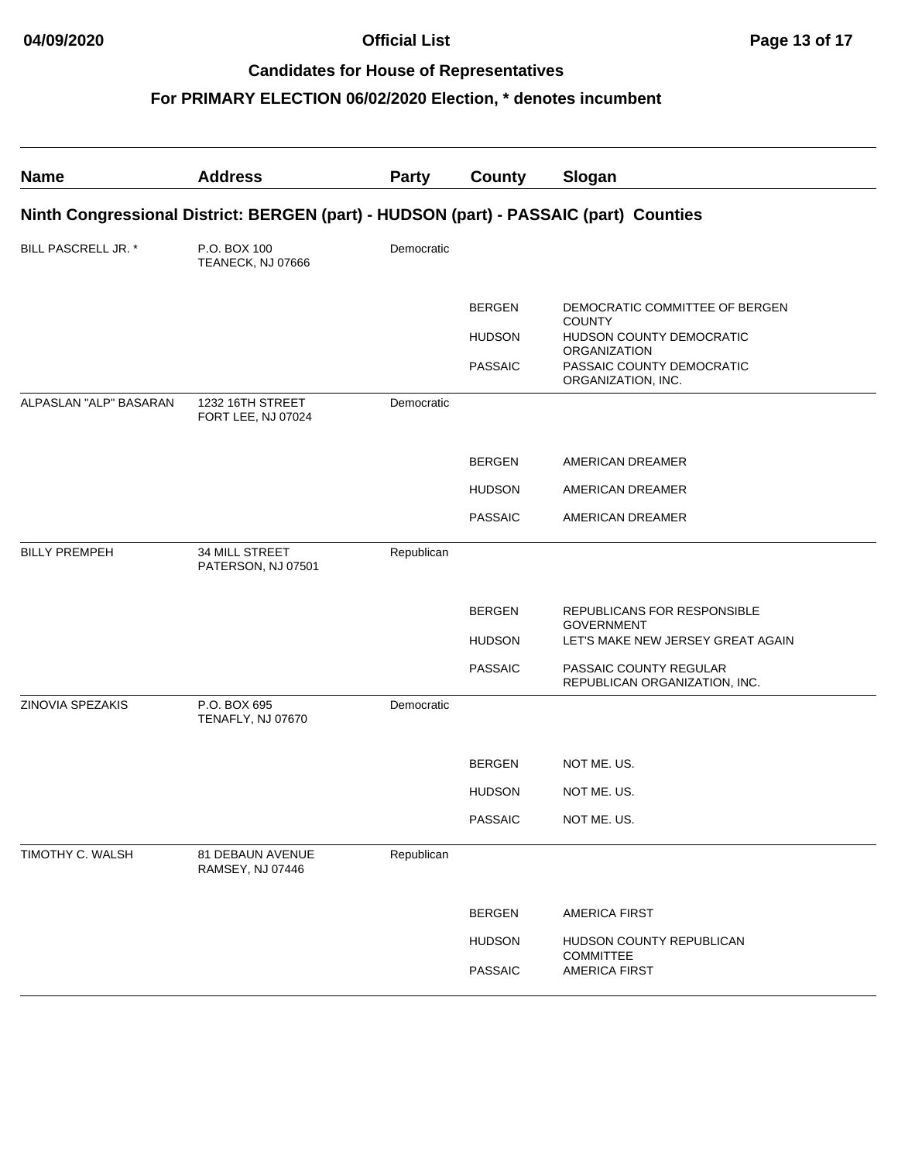| <b>Name</b>            | <b>Address</b>                                                                        | Party      | <b>County</b>  | Slogan                                                  |
|------------------------|---------------------------------------------------------------------------------------|------------|----------------|---------------------------------------------------------|
|                        | Ninth Congressional District: BERGEN (part) - HUDSON (part) - PASSAIC (part) Counties |            |                |                                                         |
| BILL PASCRELL JR. *    | P.O. BOX 100<br>TEANECK, NJ 07666                                                     | Democratic |                |                                                         |
|                        |                                                                                       |            | <b>BERGEN</b>  | DEMOCRATIC COMMITTEE OF BERGEN<br><b>COUNTY</b>         |
|                        |                                                                                       |            | <b>HUDSON</b>  | HUDSON COUNTY DEMOCRATIC<br><b>ORGANIZATION</b>         |
|                        |                                                                                       |            | <b>PASSAIC</b> | PASSAIC COUNTY DEMOCRATIC<br>ORGANIZATION, INC.         |
| ALPASLAN "ALP" BASARAN | 1232 16TH STREET<br>FORT LEE, NJ 07024                                                | Democratic |                |                                                         |
|                        |                                                                                       |            | <b>BERGEN</b>  | AMERICAN DREAMER                                        |
|                        |                                                                                       |            | <b>HUDSON</b>  | AMERICAN DREAMER                                        |
|                        |                                                                                       |            | <b>PASSAIC</b> | AMERICAN DREAMER                                        |
| <b>BILLY PREMPEH</b>   | 34 MILL STREET<br>PATERSON, NJ 07501                                                  | Republican |                |                                                         |
|                        |                                                                                       |            | <b>BERGEN</b>  | REPUBLICANS FOR RESPONSIBLE<br><b>GOVERNMENT</b>        |
|                        |                                                                                       |            | <b>HUDSON</b>  | LET'S MAKE NEW JERSEY GREAT AGAIN                       |
|                        |                                                                                       |            | <b>PASSAIC</b> | PASSAIC COUNTY REGULAR<br>REPUBLICAN ORGANIZATION, INC. |
| ZINOVIA SPEZAKIS       | P.O. BOX 695<br>TENAFLY, NJ 07670                                                     | Democratic |                |                                                         |
|                        |                                                                                       |            | <b>BERGEN</b>  | NOT ME. US.                                             |
|                        |                                                                                       |            | <b>HUDSON</b>  | NOT ME. US.                                             |
|                        |                                                                                       |            | <b>PASSAIC</b> | NOT ME. US.                                             |
| TIMOTHY C. WALSH       | 81 DEBAUN AVENUE<br>RAMSEY, NJ 07446                                                  | Republican |                |                                                         |
|                        |                                                                                       |            | <b>BERGEN</b>  | <b>AMERICA FIRST</b>                                    |
|                        |                                                                                       |            | <b>HUDSON</b>  | HUDSON COUNTY REPUBLICAN                                |
|                        |                                                                                       |            | <b>PASSAIC</b> | COMMITTEE<br><b>AMERICA FIRST</b>                       |
|                        |                                                                                       |            |                |                                                         |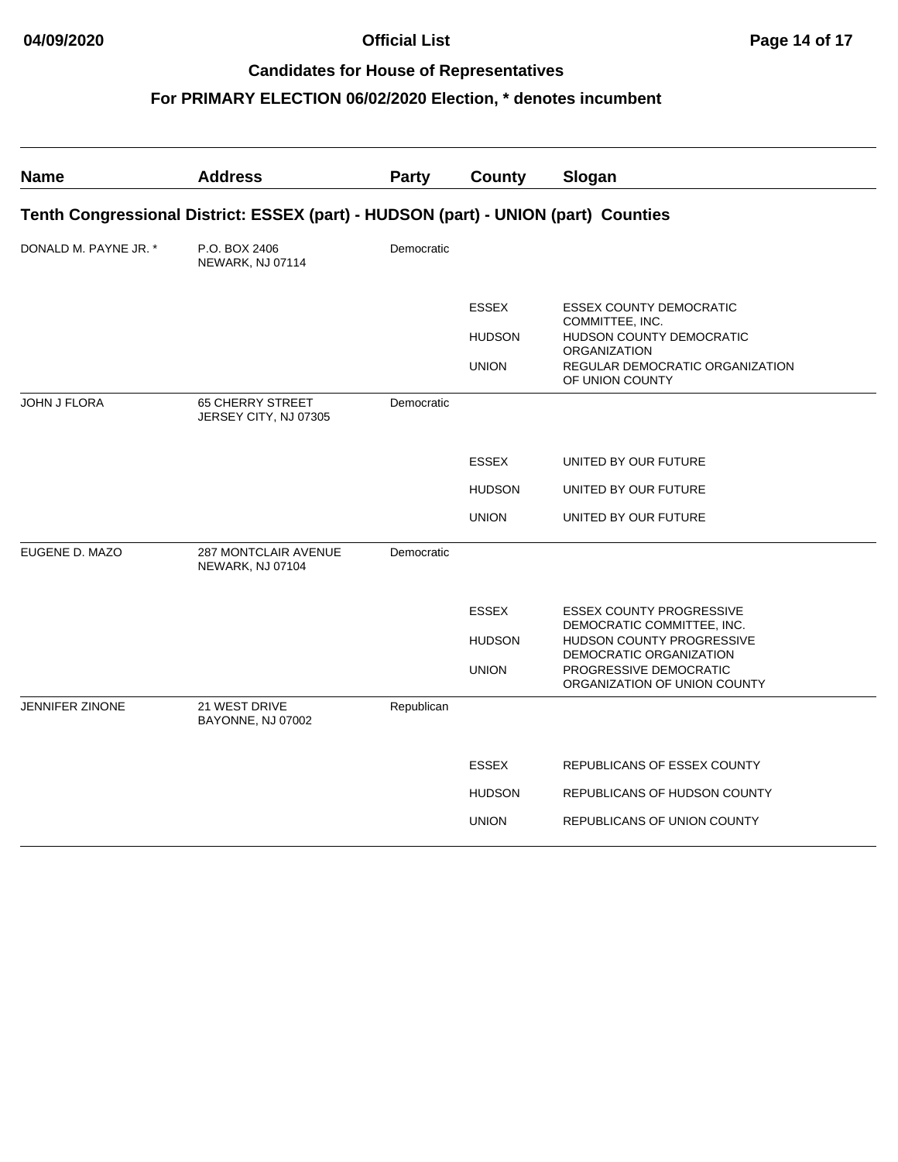| <b>Name</b>            | <b>Address</b>                                                                     | Party      | <b>County</b>                 | Slogan                                                                            |
|------------------------|------------------------------------------------------------------------------------|------------|-------------------------------|-----------------------------------------------------------------------------------|
|                        | Tenth Congressional District: ESSEX (part) - HUDSON (part) - UNION (part) Counties |            |                               |                                                                                   |
| DONALD M. PAYNE JR. *  | P.O. BOX 2406<br>NEWARK, NJ 07114                                                  | Democratic |                               |                                                                                   |
|                        |                                                                                    |            | <b>ESSEX</b><br><b>HUDSON</b> | <b>ESSEX COUNTY DEMOCRATIC</b><br>COMMITTEE, INC.<br>HUDSON COUNTY DEMOCRATIC     |
|                        |                                                                                    |            | <b>UNION</b>                  | <b>ORGANIZATION</b><br>REGULAR DEMOCRATIC ORGANIZATION<br>OF UNION COUNTY         |
| <b>JOHN J FLORA</b>    | <b>65 CHERRY STREET</b><br>JERSEY CITY, NJ 07305                                   | Democratic |                               |                                                                                   |
|                        |                                                                                    |            | <b>ESSEX</b>                  | UNITED BY OUR FUTURE                                                              |
|                        |                                                                                    |            | <b>HUDSON</b>                 | UNITED BY OUR FUTURE                                                              |
|                        |                                                                                    |            | <b>UNION</b>                  | UNITED BY OUR FUTURE                                                              |
| EUGENE D. MAZO         | <b>287 MONTCLAIR AVENUE</b><br>NEWARK, NJ 07104                                    | Democratic |                               |                                                                                   |
|                        |                                                                                    |            | <b>ESSEX</b>                  | <b>ESSEX COUNTY PROGRESSIVE</b>                                                   |
|                        |                                                                                    |            | <b>HUDSON</b>                 | DEMOCRATIC COMMITTEE, INC.<br>HUDSON COUNTY PROGRESSIVE                           |
|                        |                                                                                    |            | <b>UNION</b>                  | DEMOCRATIC ORGANIZATION<br>PROGRESSIVE DEMOCRATIC<br>ORGANIZATION OF UNION COUNTY |
| <b>JENNIFER ZINONE</b> | 21 WEST DRIVE<br>BAYONNE, NJ 07002                                                 | Republican |                               |                                                                                   |
|                        |                                                                                    |            | <b>ESSEX</b>                  | REPUBLICANS OF ESSEX COUNTY                                                       |
|                        |                                                                                    |            | <b>HUDSON</b>                 | REPUBLICANS OF HUDSON COUNTY                                                      |
|                        |                                                                                    |            | <b>UNION</b>                  | REPUBLICANS OF UNION COUNTY                                                       |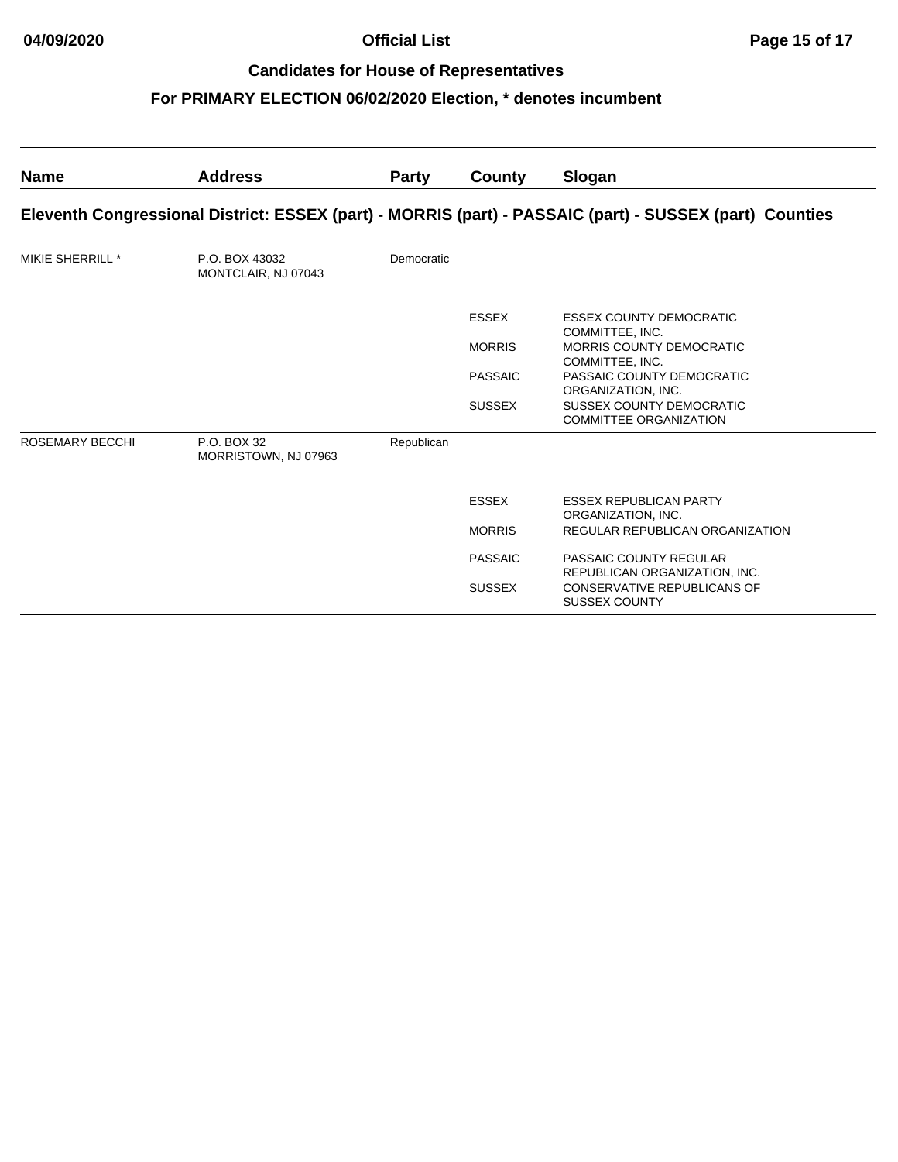| <b>Name</b>      | <b>Address</b>                        | <b>Party</b> | County         | Slogan                                                                                                  |
|------------------|---------------------------------------|--------------|----------------|---------------------------------------------------------------------------------------------------------|
|                  |                                       |              |                | Eleventh Congressional District: ESSEX (part) - MORRIS (part) - PASSAIC (part) - SUSSEX (part) Counties |
| MIKIE SHERRILL * | P.O. BOX 43032<br>MONTCLAIR, NJ 07043 | Democratic   |                |                                                                                                         |
|                  |                                       |              | <b>ESSEX</b>   | <b>ESSEX COUNTY DEMOCRATIC</b><br>COMMITTEE, INC.                                                       |
|                  |                                       |              | <b>MORRIS</b>  | MORRIS COUNTY DEMOCRATIC<br>COMMITTEE, INC.                                                             |
|                  |                                       |              | <b>PASSAIC</b> | PASSAIC COUNTY DEMOCRATIC<br>ORGANIZATION, INC.                                                         |
|                  |                                       |              | <b>SUSSEX</b>  | SUSSEX COUNTY DEMOCRATIC<br><b>COMMITTEE ORGANIZATION</b>                                               |
| ROSEMARY BECCHI  | P.O. BOX 32<br>MORRISTOWN, NJ 07963   | Republican   |                |                                                                                                         |
|                  |                                       |              | <b>ESSEX</b>   | <b>ESSEX REPUBLICAN PARTY</b><br>ORGANIZATION, INC.                                                     |
|                  |                                       |              | <b>MORRIS</b>  | REGULAR REPUBLICAN ORGANIZATION                                                                         |
|                  |                                       |              | <b>PASSAIC</b> | PASSAIC COUNTY REGULAR<br>REPUBLICAN ORGANIZATION, INC.                                                 |
|                  |                                       |              | <b>SUSSEX</b>  | CONSERVATIVE REPUBLICANS OF<br><b>SUSSEX COUNTY</b>                                                     |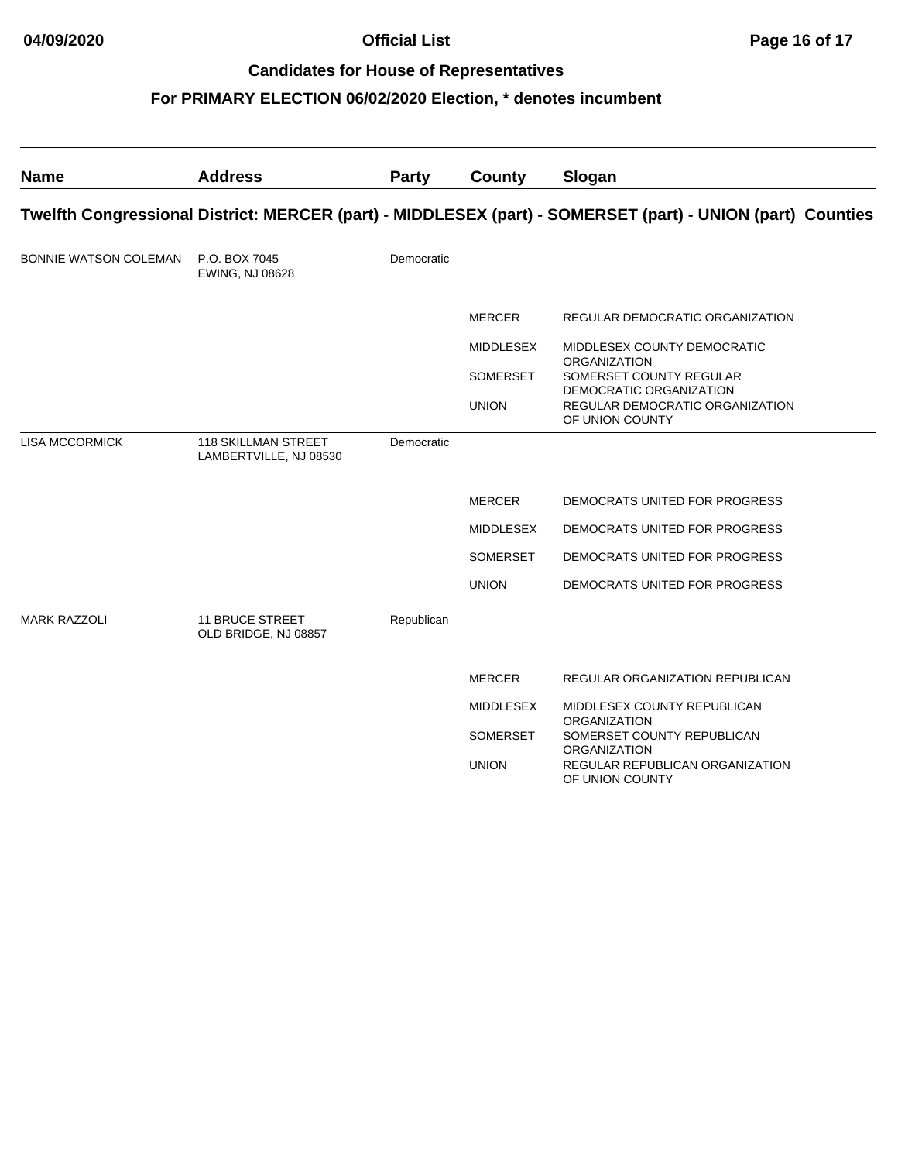| <b>Name</b>                  | <b>Address</b>                                       | Party      | County           | Slogan                                                                                                     |
|------------------------------|------------------------------------------------------|------------|------------------|------------------------------------------------------------------------------------------------------------|
|                              |                                                      |            |                  | Twelfth Congressional District: MERCER (part) - MIDDLESEX (part) - SOMERSET (part) - UNION (part) Counties |
| <b>BONNIE WATSON COLEMAN</b> | P.O. BOX 7045<br>EWING, NJ 08628                     | Democratic |                  |                                                                                                            |
|                              |                                                      |            | <b>MERCER</b>    | REGULAR DEMOCRATIC ORGANIZATION                                                                            |
|                              |                                                      |            | <b>MIDDLESEX</b> | MIDDLESEX COUNTY DEMOCRATIC<br><b>ORGANIZATION</b>                                                         |
|                              |                                                      |            | SOMERSET         | SOMERSET COUNTY REGULAR<br>DEMOCRATIC ORGANIZATION                                                         |
|                              |                                                      |            | <b>UNION</b>     | REGULAR DEMOCRATIC ORGANIZATION<br>OF UNION COUNTY                                                         |
| <b>LISA MCCORMICK</b>        | <b>118 SKILLMAN STREET</b><br>LAMBERTVILLE, NJ 08530 | Democratic |                  |                                                                                                            |
|                              |                                                      |            | <b>MERCER</b>    | DEMOCRATS UNITED FOR PROGRESS                                                                              |
|                              |                                                      |            | <b>MIDDLESEX</b> | DEMOCRATS UNITED FOR PROGRESS                                                                              |
|                              |                                                      |            | <b>SOMERSET</b>  | DEMOCRATS UNITED FOR PROGRESS                                                                              |
|                              |                                                      |            | <b>UNION</b>     | DEMOCRATS UNITED FOR PROGRESS                                                                              |
| <b>MARK RAZZOLI</b>          | <b>11 BRUCE STREET</b><br>OLD BRIDGE, NJ 08857       | Republican |                  |                                                                                                            |
|                              |                                                      |            | <b>MERCER</b>    | REGULAR ORGANIZATION REPUBLICAN                                                                            |
|                              |                                                      |            | <b>MIDDLESEX</b> | MIDDLESEX COUNTY REPUBLICAN                                                                                |
|                              |                                                      |            | <b>SOMERSET</b>  | <b>ORGANIZATION</b><br>SOMERSET COUNTY REPUBLICAN                                                          |
|                              |                                                      |            | <b>UNION</b>     | <b>ORGANIZATION</b><br>REGULAR REPUBLICAN ORGANIZATION<br>OF UNION COUNTY                                  |